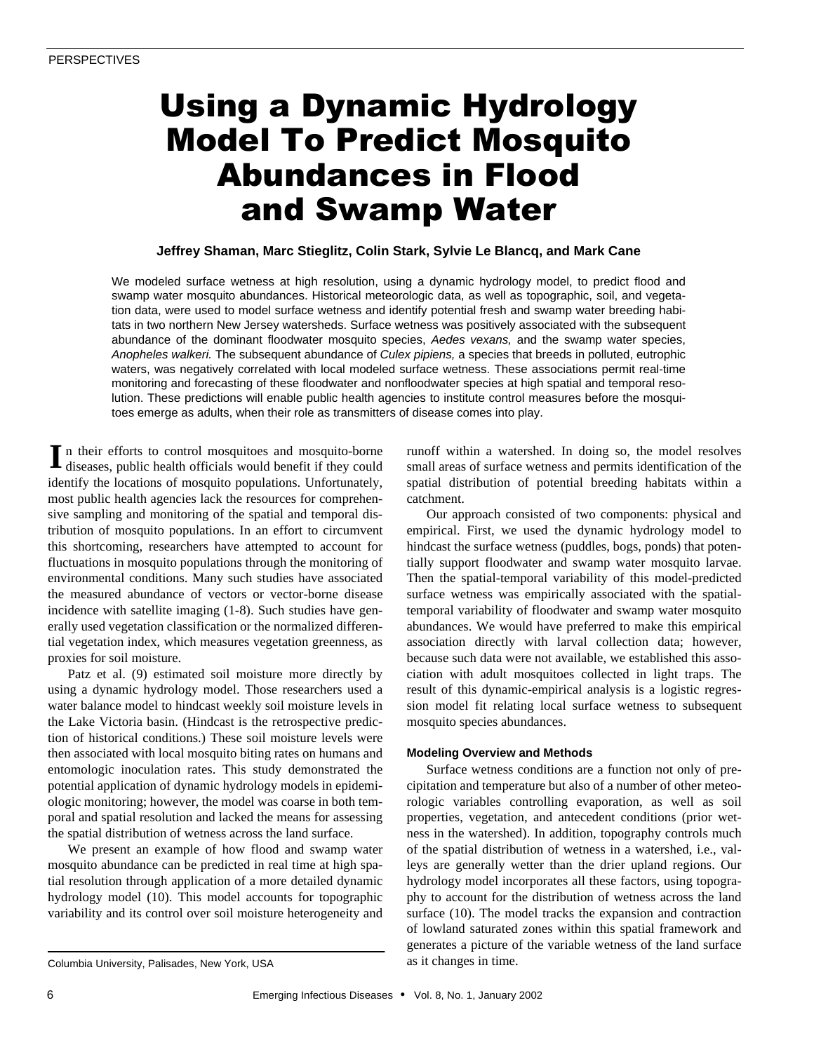# Using a Dynamic Hydrology Model To Predict Mosquito Abundances in Flood and Swamp Water

## **Jeffrey Shaman, Marc Stieglitz, Colin Stark, Sylvie Le Blancq, and Mark Cane**

We modeled surface wetness at high resolution, using a dynamic hydrology model, to predict flood and swamp water mosquito abundances. Historical meteorologic data, as well as topographic, soil, and vegetation data, were used to model surface wetness and identify potential fresh and swamp water breeding habitats in two northern New Jersey watersheds. Surface wetness was positively associated with the subsequent abundance of the dominant floodwater mosquito species, *Aedes vexans,* and the swamp water species, *Anopheles walkeri.* The subsequent abundance of *Culex pipiens,* a species that breeds in polluted, eutrophic waters, was negatively correlated with local modeled surface wetness. These associations permit real-time monitoring and forecasting of these floodwater and nonfloodwater species at high spatial and temporal resolution. These predictions will enable public health agencies to institute control measures before the mosquitoes emerge as adults, when their role as transmitters of disease comes into play.

In their efforts to control mosquitoes and mosquito-borne diseases, public health officials would benefit if they could diseases, public health officials would benefit if they could identify the locations of mosquito populations. Unfortunately, most public health agencies lack the resources for comprehensive sampling and monitoring of the spatial and temporal distribution of mosquito populations. In an effort to circumvent this shortcoming, researchers have attempted to account for fluctuations in mosquito populations through the monitoring of environmental conditions. Many such studies have associated the measured abundance of vectors or vector-borne disease incidence with satellite imaging (1-8). Such studies have generally used vegetation classification or the normalized differential vegetation index, which measures vegetation greenness, as proxies for soil moisture.

Patz et al. (9) estimated soil moisture more directly by using a dynamic hydrology model. Those researchers used a water balance model to hindcast weekly soil moisture levels in the Lake Victoria basin. (Hindcast is the retrospective prediction of historical conditions.) These soil moisture levels were then associated with local mosquito biting rates on humans and entomologic inoculation rates. This study demonstrated the potential application of dynamic hydrology models in epidemiologic monitoring; however, the model was coarse in both temporal and spatial resolution and lacked the means for assessing the spatial distribution of wetness across the land surface.

We present an example of how flood and swamp water mosquito abundance can be predicted in real time at high spatial resolution through application of a more detailed dynamic hydrology model (10). This model accounts for topographic variability and its control over soil moisture heterogeneity and

runoff within a watershed. In doing so, the model resolves small areas of surface wetness and permits identification of the spatial distribution of potential breeding habitats within a catchment.

Our approach consisted of two components: physical and empirical. First, we used the dynamic hydrology model to hindcast the surface wetness (puddles, bogs, ponds) that potentially support floodwater and swamp water mosquito larvae. Then the spatial-temporal variability of this model-predicted surface wetness was empirically associated with the spatialtemporal variability of floodwater and swamp water mosquito abundances. We would have preferred to make this empirical association directly with larval collection data; however, because such data were not available, we established this association with adult mosquitoes collected in light traps. The result of this dynamic-empirical analysis is a logistic regression model fit relating local surface wetness to subsequent mosquito species abundances.

#### **Modeling Overview and Methods**

Surface wetness conditions are a function not only of precipitation and temperature but also of a number of other meteorologic variables controlling evaporation, as well as soil properties, vegetation, and antecedent conditions (prior wetness in the watershed). In addition, topography controls much of the spatial distribution of wetness in a watershed, i.e., valleys are generally wetter than the drier upland regions. Our hydrology model incorporates all these factors, using topography to account for the distribution of wetness across the land surface (10). The model tracks the expansion and contraction of lowland saturated zones within this spatial framework and generates a picture of the variable wetness of the land surface

Columbia University, Palisades, New York, USA as it changes in time.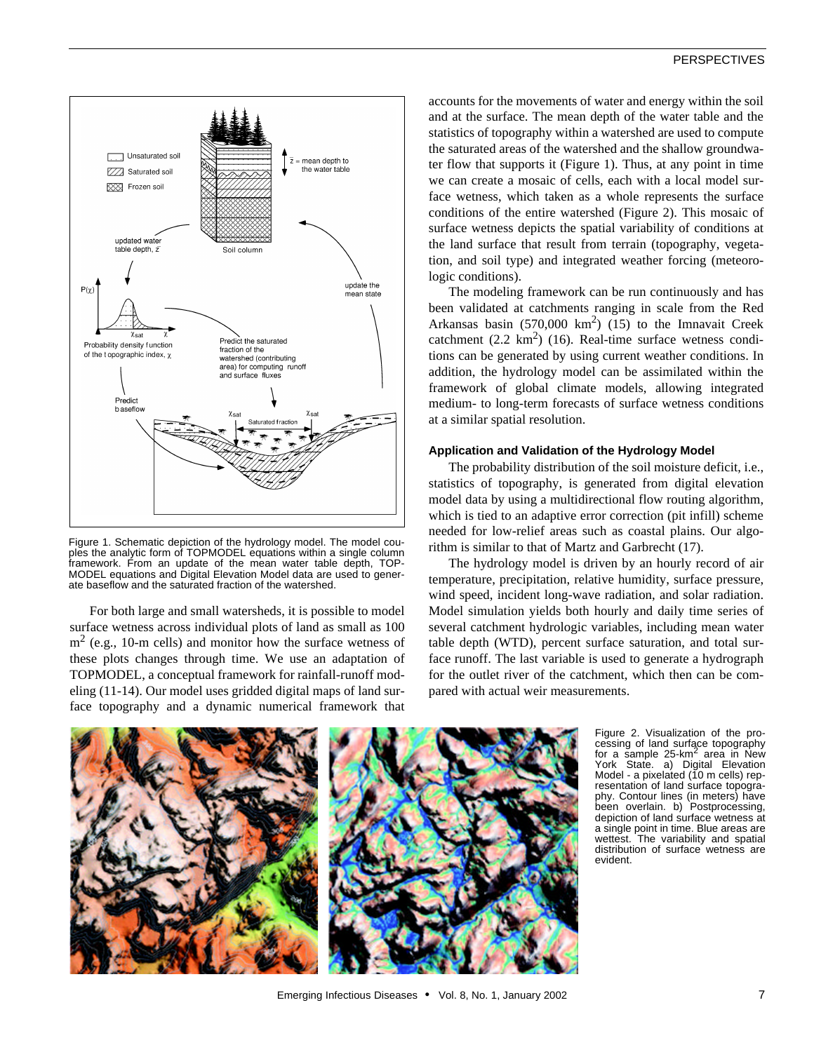

Figure 1. Schematic depiction of the hydrology model. The model couples the analytic form of TOPMODEL equations within a single column framework. From an update of the mean water table depth, TOP-MODEL equations and Digital Elevation Model data are used to generate baseflow and the saturated fraction of the watershed.

For both large and small watersheds, it is possible to model surface wetness across individual plots of land as small as 100  $m<sup>2</sup>$  (e.g., 10-m cells) and monitor how the surface wetness of these plots changes through time. We use an adaptation of TOPMODEL, a conceptual framework for rainfall-runoff modeling (11-14). Our model uses gridded digital maps of land surface topography and a dynamic numerical framework that

accounts for the movements of water and energy within the soil and at the surface. The mean depth of the water table and the statistics of topography within a watershed are used to compute the saturated areas of the watershed and the shallow groundwater flow that supports it (Figure 1). Thus, at any point in time we can create a mosaic of cells, each with a local model surface wetness, which taken as a whole represents the surface conditions of the entire watershed (Figure 2). This mosaic of surface wetness depicts the spatial variability of conditions at the land surface that result from terrain (topography, vegetation, and soil type) and integrated weather forcing (meteorologic conditions).

The modeling framework can be run continuously and has been validated at catchments ranging in scale from the Red Arkansas basin  $(570,000 \text{ km}^2)$   $(15)$  to the Imnavait Creek catchment  $(2.2 \text{ km}^2)$  (16). Real-time surface wetness conditions can be generated by using current weather conditions. In addition, the hydrology model can be assimilated within the framework of global climate models, allowing integrated medium- to long-term forecasts of surface wetness conditions at a similar spatial resolution.

#### **Application and Validation of the Hydrology Model**

The probability distribution of the soil moisture deficit, i.e., statistics of topography, is generated from digital elevation model data by using a multidirectional flow routing algorithm, which is tied to an adaptive error correction (pit infill) scheme needed for low-relief areas such as coastal plains. Our algorithm is similar to that of Martz and Garbrecht (17).

The hydrology model is driven by an hourly record of air temperature, precipitation, relative humidity, surface pressure, wind speed, incident long-wave radiation, and solar radiation. Model simulation yields both hourly and daily time series of several catchment hydrologic variables, including mean water table depth (WTD), percent surface saturation, and total surface runoff. The last variable is used to generate a hydrograph for the outlet river of the catchment, which then can be compared with actual weir measurements.



Figure 2. Visualization of the processing of land surface topography  $\frac{3}{2}$  or and  $\frac{3}{2}$  area in New York State. a) Digital Elevation Model - a pixelated (10 m cells) representation of land surface topography. Contour lines (in meters) have been overlain. b) Postprocessing, depiction of land surface wetness at a single point in time. Blue areas are wettest. The variability and spatial distribution of surface wetness are evident.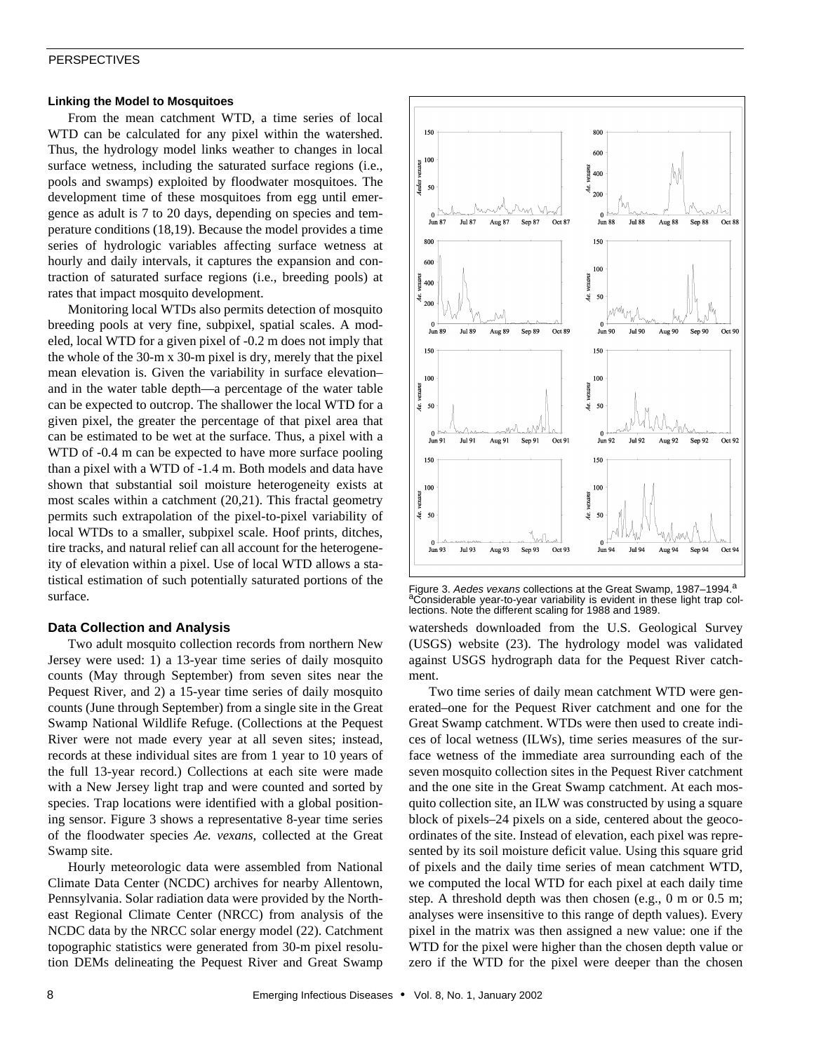#### **Linking the Model to Mosquitoes**

From the mean catchment WTD, a time series of local WTD can be calculated for any pixel within the watershed. Thus, the hydrology model links weather to changes in local surface wetness, including the saturated surface regions (i.e., pools and swamps) exploited by floodwater mosquitoes. The development time of these mosquitoes from egg until emergence as adult is 7 to 20 days, depending on species and temperature conditions (18,19). Because the model provides a time series of hydrologic variables affecting surface wetness at hourly and daily intervals, it captures the expansion and contraction of saturated surface regions (i.e., breeding pools) at rates that impact mosquito development.

Monitoring local WTDs also permits detection of mosquito breeding pools at very fine, subpixel, spatial scales. A modeled, local WTD for a given pixel of -0.2 m does not imply that the whole of the 30-m x 30-m pixel is dry, merely that the pixel mean elevation is. Given the variability in surface elevation– and in the water table depth––a percentage of the water table can be expected to outcrop. The shallower the local WTD for a given pixel, the greater the percentage of that pixel area that can be estimated to be wet at the surface. Thus, a pixel with a WTD of -0.4 m can be expected to have more surface pooling than a pixel with a WTD of -1.4 m. Both models and data have shown that substantial soil moisture heterogeneity exists at most scales within a catchment (20,21). This fractal geometry permits such extrapolation of the pixel-to-pixel variability of local WTDs to a smaller, subpixel scale. Hoof prints, ditches, tire tracks, and natural relief can all account for the heterogeneity of elevation within a pixel. Use of local WTD allows a statistical estimation of such potentially saturated portions of the surface.

#### **Data Collection and Analysis**

Two adult mosquito collection records from northern New Jersey were used: 1) a 13-year time series of daily mosquito counts (May through September) from seven sites near the Pequest River, and 2) a 15-year time series of daily mosquito counts (June through September) from a single site in the Great Swamp National Wildlife Refuge. (Collections at the Pequest River were not made every year at all seven sites; instead, records at these individual sites are from 1 year to 10 years of the full 13-year record.) Collections at each site were made with a New Jersey light trap and were counted and sorted by species. Trap locations were identified with a global positioning sensor. Figure 3 shows a representative 8-year time series of the floodwater species *Ae. vexans,* collected at the Great Swamp site.

Hourly meteorologic data were assembled from National Climate Data Center (NCDC) archives for nearby Allentown, Pennsylvania. Solar radiation data were provided by the Northeast Regional Climate Center (NRCC) from analysis of the NCDC data by the NRCC solar energy model (22). Catchment topographic statistics were generated from 30-m pixel resolution DEMs delineating the Pequest River and Great Swamp



Figure 3. Aedes vexans collections at the Great Swamp, 1987-1994.<sup>a</sup> action considerable year-to-year variability is evident in these light trap collections. Note the different scaling for 1988 and 1989.

watersheds downloaded from the U.S. Geological Survey (USGS) website (23). The hydrology model was validated against USGS hydrograph data for the Pequest River catchment.

Two time series of daily mean catchment WTD were generated–one for the Pequest River catchment and one for the Great Swamp catchment. WTDs were then used to create indices of local wetness (ILWs), time series measures of the surface wetness of the immediate area surrounding each of the seven mosquito collection sites in the Pequest River catchment and the one site in the Great Swamp catchment. At each mosquito collection site, an ILW was constructed by using a square block of pixels–24 pixels on a side, centered about the geocoordinates of the site. Instead of elevation, each pixel was represented by its soil moisture deficit value. Using this square grid of pixels and the daily time series of mean catchment WTD, we computed the local WTD for each pixel at each daily time step. A threshold depth was then chosen (e.g., 0 m or 0.5 m; analyses were insensitive to this range of depth values). Every pixel in the matrix was then assigned a new value: one if the WTD for the pixel were higher than the chosen depth value or zero if the WTD for the pixel were deeper than the chosen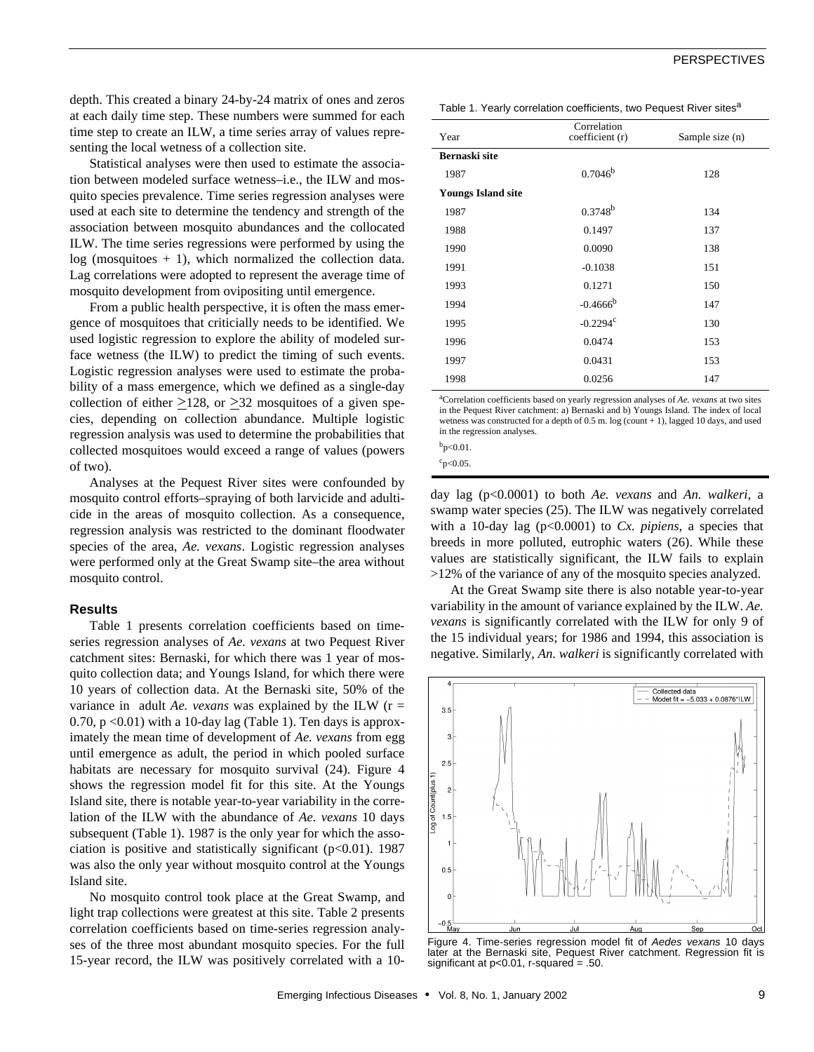depth. This created a binary 24-by-24 matrix of ones and zeros at each daily time step. These numbers were summed for each time step to create an ILW, a time series array of values representing the local wetness of a collection site.

Statistical analyses were then used to estimate the association between modeled surface wetness–i.e., the ILW and mosquito species prevalence. Time series regression analyses were used at each site to determine the tendency and strength of the association between mosquito abundances and the collocated ILW. The time series regressions were performed by using the  $log (mosquitoes + 1)$ , which normalized the collection data. Lag correlations were adopted to represent the average time of mosquito development from ovipositing until emergence.

From a public health perspective, it is often the mass emergence of mosquitoes that criticially needs to be identified. We used logistic regression to explore the ability of modeled surface wetness (the ILW) to predict the timing of such events. Logistic regression analyses were used to estimate the probability of a mass emergence, which we defined as a single-day collection of either  $>128$ , or  $>32$  mosquitoes of a given species, depending on collection abundance. Multiple logistic regression analysis was used to determine the probabilities that collected mosquitoes would exceed a range of values (powers of two).

Analyses at the Pequest River sites were confounded by mosquito control efforts–spraying of both larvicide and adulticide in the areas of mosquito collection. As a consequence, regression analysis was restricted to the dominant floodwater species of the area, *Ae. vexans*. Logistic regression analyses were performed only at the Great Swamp site–the area without mosquito control.

#### **Results**

Table 1 presents correlation coefficients based on timeseries regression analyses of *Ae. vexans* at two Pequest River catchment sites: Bernaski, for which there was 1 year of mosquito collection data; and Youngs Island, for which there were 10 years of collection data. At the Bernaski site, 50% of the variance in adult *Ae. vexans* was explained by the ILW (r =  $(0.70, p < 0.01)$  with a 10-day lag (Table 1). Ten days is approximately the mean time of development of *Ae. vexans* from egg until emergence as adult, the period in which pooled surface habitats are necessary for mosquito survival  $(24)$ . Figure 4 shows the regression model fit for this site. At the Youngs Island site, there is notable year-to-year variability in the correlation of the ILW with the abundance of *Ae. vexans* 10 days subsequent (Table 1). 1987 is the only year for which the association is positive and statistically significant ( $p<0.01$ ). 1987 was also the only year without mosquito control at the Youngs Island site.

No mosquito control took place at the Great Swamp, and light trap collections were greatest at this site. Table 2 presents correlation coefficients based on time-series regression analyses of the three most abundant mosquito species. For the full 15-year record, the ILW was positively correlated with a 10-

| Table 1. Yearly correlation coefficients, two Pequest River sites <sup>a</sup> |
|--------------------------------------------------------------------------------|
|--------------------------------------------------------------------------------|

| Year                      | Correlation<br>coefficient (r) | Sample size (n) |
|---------------------------|--------------------------------|-----------------|
| <b>Bernaski site</b>      |                                |                 |
| 1987                      | $0.7046^{b}$                   | 128             |
| <b>Youngs Island site</b> |                                |                 |
| 1987                      | $0.3748^{b}$                   | 134             |
| 1988                      | 0.1497                         | 137             |
| 1990                      | 0.0090                         | 138             |
| 1991                      | $-0.1038$                      | 151             |
| 1993                      | 0.1271                         | 150             |
| 1994                      | $-0.4666^{b}$                  | 147             |
| 1995                      | $-0.2294$ <sup>c</sup>         | 130             |
| 1996                      | 0.0474                         | 153             |
| 1997                      | 0.0431                         | 153             |
| 1998                      | 0.0256                         | 147             |

<sup>a</sup>Correlation coefficients based on yearly regression analyses of *Ae. vexans* at two sites in the Pequest River catchment: a) Bernaski and b) Youngs Island. The index of local wetness was constructed for a depth of  $0.5$  m,  $\log$  (count + 1), lagged 10 days, and used in the regression analyses.

 $b_{p<0.01}$ .

 $c_{p<0.05}$ .

day lag (p<0.0001) to both *Ae. vexans* and *An. walkeri*, a swamp water species (25). The ILW was negatively correlated with a 10-day lag (p<0.0001) to *Cx. pipiens*, a species that breeds in more polluted, eutrophic waters (26). While these values are statistically significant, the ILW fails to explain >12% of the variance of any of the mosquito species analyzed.

At the Great Swamp site there is also notable year-to-year variability in the amount of variance explained by the ILW. *Ae. vexans* is significantly correlated with the ILW for only 9 of the 15 individual years; for 1986 and 1994, this association is negative. Similarly, *An. walkeri* is significantly correlated with



Figure 4. Time-series regression model fit of *Aedes vexans* 10 days later at the Bernaski site, Pequest River catchment. Regression fit is significant at  $p<0.01$ , r-squared = .50.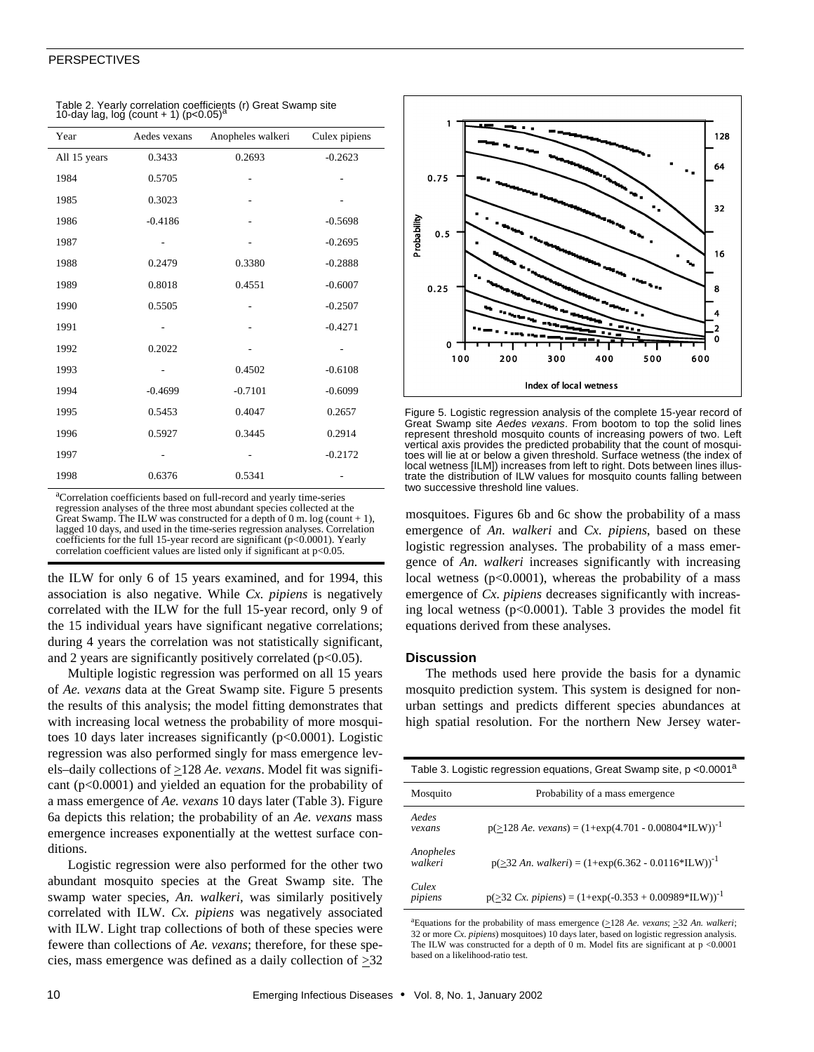| Year         | Aedes vexans | Anopheles walkeri | Culex pipiens |
|--------------|--------------|-------------------|---------------|
| All 15 years | 0.3433       | 0.2693            | $-0.2623$     |
| 1984         | 0.5705       |                   |               |
| 1985         | 0.3023       |                   |               |
| 1986         | $-0.4186$    |                   | $-0.5698$     |
| 1987         |              |                   | $-0.2695$     |
| 1988         | 0.2479       | 0.3380            | $-0.2888$     |
| 1989         | 0.8018       | 0.4551            | $-0.6007$     |
| 1990         | 0.5505       |                   | $-0.2507$     |
| 1991         |              |                   | $-0.4271$     |
| 1992         | 0.2022       |                   |               |
| 1993         |              | 0.4502            | $-0.6108$     |
| 1994         | $-0.4699$    | $-0.7101$         | $-0.6099$     |
| 1995         | 0.5453       | 0.4047            | 0.2657        |
| 1996         | 0.5927       | 0.3445            | 0.2914        |
| 1997         |              |                   | $-0.2172$     |
| 1998         | 0.6376       | 0.5341            |               |

Table 2. Yearly correlation coefficients (r) Great Swamp site

10-day lag,  $log (count + 1) (p < 0.05)^{a}$ 

aCorrelation coefficients based on full-record and yearly time-series regression analyses of the three most abundant species collected at the Great Swamp. The ILW was constructed for a depth of 0 m. log (count  $+ 1$ ), lagged 10 days, and used in the time-series regression analyses. Correlation coefficients for the full 15-year record are significant ( $p<0.0001$ ). Yearly correlation coefficient values are listed only if significant at  $p<0.05$ .

the ILW for only 6 of 15 years examined, and for 1994, this association is also negative. While *Cx. pipiens* is negatively correlated with the ILW for the full 15-year record, only 9 of the 15 individual years have significant negative correlations; during 4 years the correlation was not statistically significant, and 2 years are significantly positively correlated  $(p<0.05)$ .

Multiple logistic regression was performed on all 15 years of *Ae. vexans* data at the Great Swamp site. Figure 5 presents the results of this analysis; the model fitting demonstrates that with increasing local wetness the probability of more mosquitoes 10 days later increases significantly (p<0.0001). Logistic regression was also performed singly for mass emergence levels–daily collections of  $\geq$ 128 *Ae. vexans*. Model fit was significant (p<0.0001) and yielded an equation for the probability of a mass emergence of *Ae. vexans* 10 days later (Table 3). Figure 6a depicts this relation; the probability of an *Ae. vexans* mass emergence increases exponentially at the wettest surface conditions.

Logistic regression were also performed for the other two abundant mosquito species at the Great Swamp site. The swamp water species, *An. walkeri,* was similarly positively correlated with ILW. *Cx. pipiens* was negatively associated with ILW. Light trap collections of both of these species were fewere than collections of *Ae. vexans*; therefore, for these species, mass emergence was defined as a daily collection of  $\geq 32$ 



Figure 5. Logistic regression analysis of the complete 15-year record of Great Swamp site *Aedes vexans*. From bootom to top the solid lines represent threshold mosquito counts of increasing powers of two. Left vertical axis provides the predicted probability that the count of mosquitoes will lie at or below a given threshold. Surface wetness (the index of local wetness [ILM]) increases from left to right. Dots between lines illustrate the distribution of ILW values for mosquito counts falling between two successive threshold line values.

mosquitoes. Figures 6b and 6c show the probability of a mass emergence of *An. walkeri* and *Cx. pipiens*, based on these logistic regression analyses. The probability of a mass emergence of *An. walkeri* increases significantly with increasing local wetness  $(p<0.0001)$ , whereas the probability of a mass emergence of *Cx. pipiens* decreases significantly with increasing local wetness (p<0.0001). Table 3 provides the model fit equations derived from these analyses.

### **Discussion**

The methods used here provide the basis for a dynamic mosquito prediction system. This system is designed for nonurban settings and predicts different species abundances at high spatial resolution. For the northern New Jersey water-

| Table 3. Logistic regression equations, Great Swamp site, $p < 0.0001^a$ |                                                                       |  |
|--------------------------------------------------------------------------|-----------------------------------------------------------------------|--|
| Mosquito                                                                 | Probability of a mass emergence                                       |  |
| Aedes<br>vexans                                                          | $p(>128$ Ae. vexans) = $(1+\exp(4.701 - 0.00804)$ *ILW) <sup>-1</sup> |  |
| Anopheles<br>walkeri                                                     | $p(\geq 32 \text{ An. walkeri}) = (1+\exp(6.362 - 0.0116*I LW))^{-1}$ |  |
| Culex<br>pipiens                                                         | $p(>=32 Cx. pipiens) = (1+exp(-0.353 + 0.00989) * ILW))^{-1}$         |  |

<sup>a</sup>Equations for the probability of mass emergence ( $\geq$ 128 *Ae. vexans*;  $\geq$ 32 *An. walkeri*; 32 or more *Cx. pipiens*) mosquitoes) 10 days later, based on logistic regression analysis. The ILW was constructed for a depth of 0 m. Model fits are significant at  $p < 0.0001$ based on a likelihood-ratio test.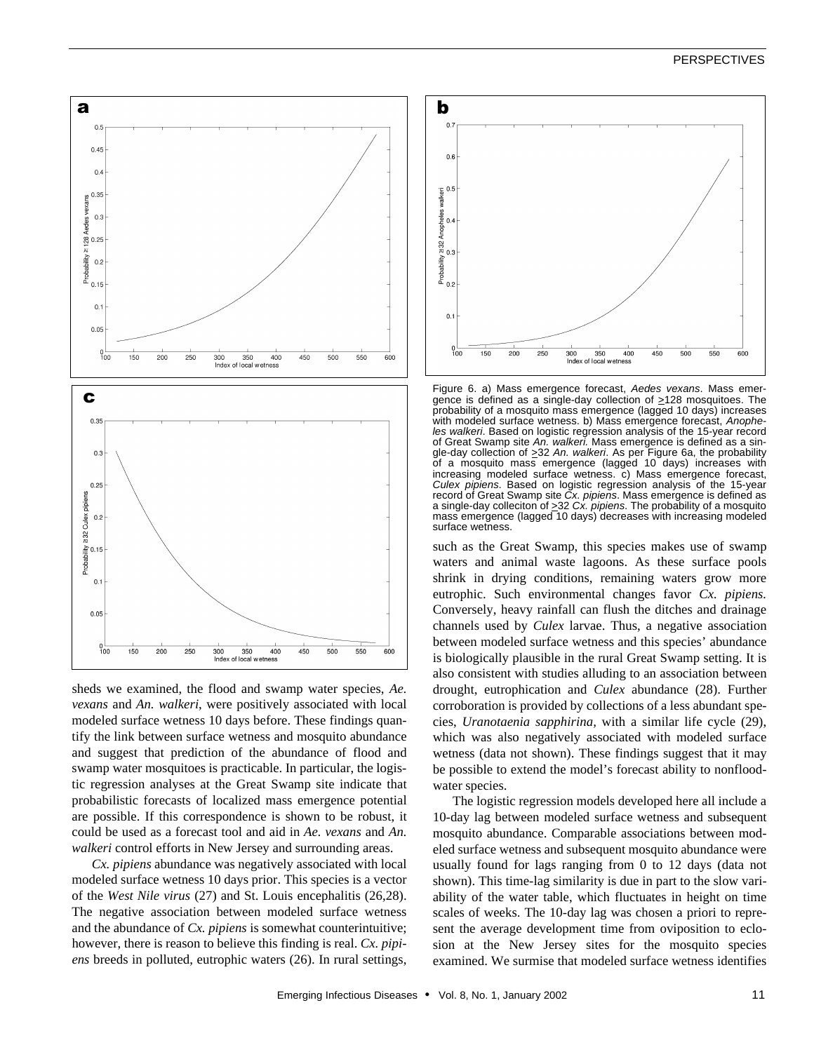

sheds we examined, the flood and swamp water species, *Ae. vexans* and *An. walkeri*, were positively associated with local modeled surface wetness 10 days before. These findings quantify the link between surface wetness and mosquito abundance and suggest that prediction of the abundance of flood and swamp water mosquitoes is practicable. In particular, the logistic regression analyses at the Great Swamp site indicate that probabilistic forecasts of localized mass emergence potential are possible. If this correspondence is shown to be robust, it could be used as a forecast tool and aid in *Ae. vexans* and *An. walkeri* control efforts in New Jersey and surrounding areas.

*Cx. pipiens* abundance was negatively associated with local modeled surface wetness 10 days prior. This species is a vector of the *West Nile virus* (27) and St. Louis encephalitis (26,28). The negative association between modeled surface wetness and the abundance of *Cx. pipiens* is somewhat counterintuitive; however, there is reason to believe this finding is real. *Cx. pipiens* breeds in polluted, eutrophic waters (26). In rural settings,



Figure 6. a) Mass emergence forecast, *Aedes vexans*. Mass emergence is defined as a single-day collection of  $\geq 128$  mosquitoes. The probability of a mosquito mass emergence (lagged 10 days) increases with modeled surface wetness. b) Mass emergence forecast, *Anopheles walkeri*. Based on logistic regression analysis of the 15-year record of Great Swamp site *An. walkeri.* Mass emergence is defined as a sin-gle-day collection of >32 *An. walkeri*. As per Figure 6a, the probability of a mosquito mass emergence (lagged 10 days) increases with increasing modeled surface wetness. c) Mass emergence forecast, *Culex pipiens*. Based on logistic regression analysis of the 15-year record of Great Swamp site *Cx. pipiens*. Mass emergence is defined as a single-day colleciton of  $\geq$ 32 *Cx. pipiens*. The probability of a mosquito mass emergence (lagged 10 days) decreases with increasing modeled surface wetness.

such as the Great Swamp, this species makes use of swamp waters and animal waste lagoons. As these surface pools shrink in drying conditions, remaining waters grow more eutrophic. Such environmental changes favor *Cx. pipiens.* Conversely, heavy rainfall can flush the ditches and drainage channels used by *Culex* larvae. Thus, a negative association between modeled surface wetness and this species' abundance is biologically plausible in the rural Great Swamp setting. It is also consistent with studies alluding to an association between drought, eutrophication and *Culex* abundance (28). Further corroboration is provided by collections of a less abundant species, *Uranotaenia sapphirina,* with a similar life cycle (29), which was also negatively associated with modeled surface wetness (data not shown). These findings suggest that it may be possible to extend the model's forecast ability to nonfloodwater species.

The logistic regression models developed here all include a 10-day lag between modeled surface wetness and subsequent mosquito abundance. Comparable associations between modeled surface wetness and subsequent mosquito abundance were usually found for lags ranging from 0 to 12 days (data not shown). This time-lag similarity is due in part to the slow variability of the water table, which fluctuates in height on time scales of weeks. The 10-day lag was chosen a priori to represent the average development time from oviposition to eclosion at the New Jersey sites for the mosquito species examined. We surmise that modeled surface wetness identifies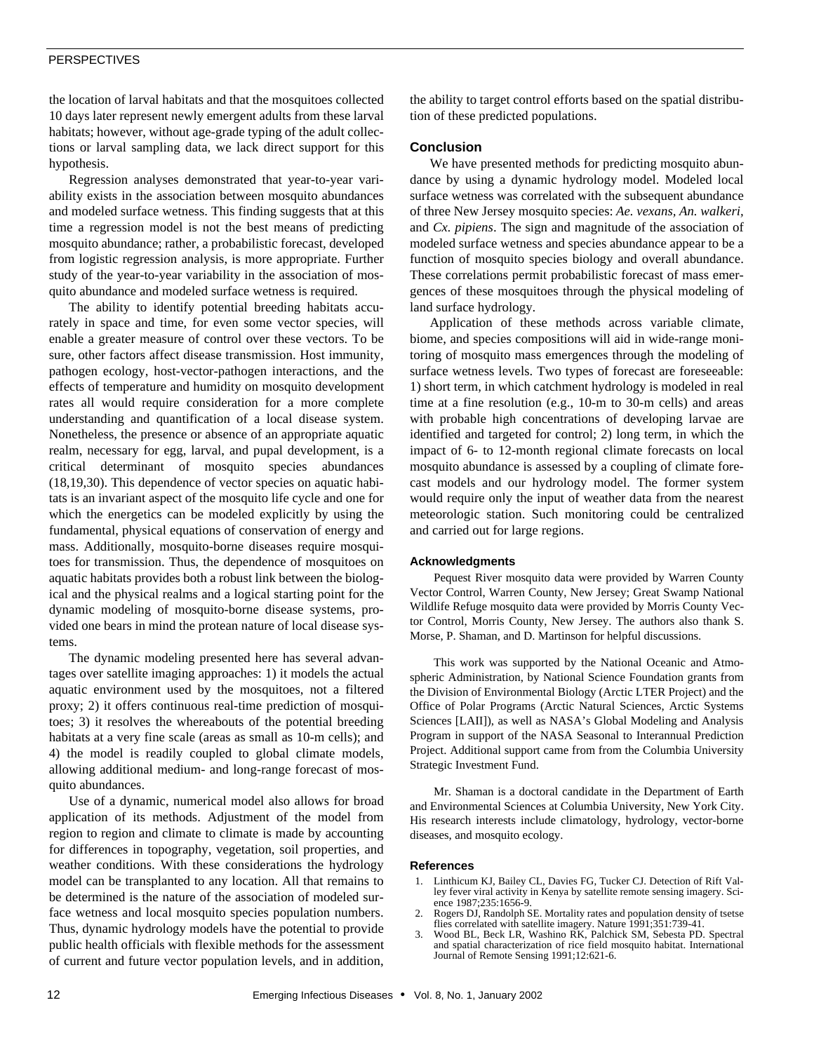the location of larval habitats and that the mosquitoes collected 10 days later represent newly emergent adults from these larval habitats; however, without age-grade typing of the adult collections or larval sampling data, we lack direct support for this hypothesis.

Regression analyses demonstrated that year-to-year variability exists in the association between mosquito abundances and modeled surface wetness. This finding suggests that at this time a regression model is not the best means of predicting mosquito abundance; rather, a probabilistic forecast, developed from logistic regression analysis, is more appropriate. Further study of the year-to-year variability in the association of mosquito abundance and modeled surface wetness is required.

The ability to identify potential breeding habitats accurately in space and time, for even some vector species, will enable a greater measure of control over these vectors. To be sure, other factors affect disease transmission. Host immunity, pathogen ecology, host-vector-pathogen interactions, and the effects of temperature and humidity on mosquito development rates all would require consideration for a more complete understanding and quantification of a local disease system. Nonetheless, the presence or absence of an appropriate aquatic realm, necessary for egg, larval, and pupal development, is a critical determinant of mosquito species abundances (18,19,30). This dependence of vector species on aquatic habitats is an invariant aspect of the mosquito life cycle and one for which the energetics can be modeled explicitly by using the fundamental, physical equations of conservation of energy and mass. Additionally, mosquito-borne diseases require mosquitoes for transmission. Thus, the dependence of mosquitoes on aquatic habitats provides both a robust link between the biological and the physical realms and a logical starting point for the dynamic modeling of mosquito-borne disease systems, provided one bears in mind the protean nature of local disease systems.

The dynamic modeling presented here has several advantages over satellite imaging approaches: 1) it models the actual aquatic environment used by the mosquitoes, not a filtered proxy; 2) it offers continuous real-time prediction of mosquitoes; 3) it resolves the whereabouts of the potential breeding habitats at a very fine scale (areas as small as 10-m cells); and 4) the model is readily coupled to global climate models, allowing additional medium- and long-range forecast of mosquito abundances.

Use of a dynamic, numerical model also allows for broad application of its methods. Adjustment of the model from region to region and climate to climate is made by accounting for differences in topography, vegetation, soil properties, and weather conditions. With these considerations the hydrology model can be transplanted to any location. All that remains to be determined is the nature of the association of modeled surface wetness and local mosquito species population numbers. Thus, dynamic hydrology models have the potential to provide public health officials with flexible methods for the assessment of current and future vector population levels, and in addition, the ability to target control efforts based on the spatial distribution of these predicted populations.

#### **Conclusion**

We have presented methods for predicting mosquito abundance by using a dynamic hydrology model. Modeled local surface wetness was correlated with the subsequent abundance of three New Jersey mosquito species: *Ae. vexans, An. walkeri,* and *Cx. pipiens*. The sign and magnitude of the association of modeled surface wetness and species abundance appear to be a function of mosquito species biology and overall abundance. These correlations permit probabilistic forecast of mass emergences of these mosquitoes through the physical modeling of land surface hydrology.

Application of these methods across variable climate, biome, and species compositions will aid in wide-range monitoring of mosquito mass emergences through the modeling of surface wetness levels. Two types of forecast are foreseeable: 1) short term, in which catchment hydrology is modeled in real time at a fine resolution (e.g., 10-m to 30-m cells) and areas with probable high concentrations of developing larvae are identified and targeted for control; 2) long term, in which the impact of 6- to 12-month regional climate forecasts on local mosquito abundance is assessed by a coupling of climate forecast models and our hydrology model. The former system would require only the input of weather data from the nearest meteorologic station. Such monitoring could be centralized and carried out for large regions.

#### **Acknowledgments**

Pequest River mosquito data were provided by Warren County Vector Control, Warren County, New Jersey; Great Swamp National Wildlife Refuge mosquito data were provided by Morris County Vector Control, Morris County, New Jersey. The authors also thank S. Morse, P. Shaman, and D. Martinson for helpful discussions.

This work was supported by the National Oceanic and Atmospheric Administration, by National Science Foundation grants from the Division of Environmental Biology (Arctic LTER Project) and the Office of Polar Programs (Arctic Natural Sciences, Arctic Systems Sciences [LAII]), as well as NASA's Global Modeling and Analysis Program in support of the NASA Seasonal to Interannual Prediction Project. Additional support came from from the Columbia University Strategic Investment Fund.

Mr. Shaman is a doctoral candidate in the Department of Earth and Environmental Sciences at Columbia University, New York City. His research interests include climatology, hydrology, vector-borne diseases, and mosquito ecology.

#### **References**

- 1. Linthicum KJ, Bailey CL, Davies FG, Tucker CJ. Detection of Rift Valley fever viral activity in Kenya by satellite remote sensing imagery. Science 1987;235:1656-9.
- 2. Rogers DJ, Randolph SE. Mortality rates and population density of tsetse flies correlated with satellite imagery. Nature 1991;351:739-41.
- 3. Wood BL, Beck LR, Washino RK, Palchick SM, Sebesta PD. Spectral and spatial characterization of rice field mosquito habitat. International Journal of Remote Sensing 1991;12:621-6.